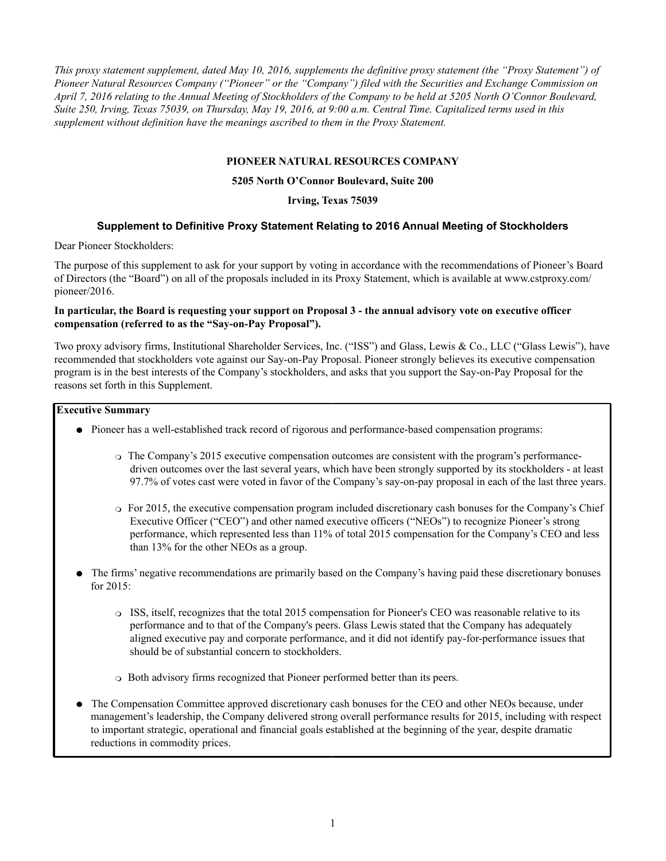*This proxy statement supplement, dated May 10, 2016, supplements the definitive proxy statement (the "Proxy Statement") of Pioneer Natural Resources Company ("Pioneer" or the "Company") filed with the Securities and Exchange Commission on April 7, 2016 relating to the Annual Meeting of Stockholders of the Company to be held at 5205 North O'Connor Boulevard, Suite 250, Irving, Texas 75039, on Thursday, May 19, 2016, at 9:00 a.m. Central Time. Capitalized terms used in this supplement without definition have the meanings ascribed to them in the Proxy Statement.*

### **PIONEER NATURAL RESOURCES COMPANY**

### **5205 North O'Connor Boulevard, Suite 200**

### **Irving, Texas 75039**

## **Supplement to Definitive Proxy Statement Relating to 2016 Annual Meeting of Stockholders**

Dear Pioneer Stockholders:

The purpose of this supplement to ask for your support by voting in accordance with the recommendations of Pioneer's Board of Directors (the "Board") on all of the proposals included in its Proxy Statement, which is available at www.cstproxy.com/ pioneer/2016.

## **In particular, the Board is requesting your support on Proposal 3 - the annual advisory vote on executive officer compensation (referred to as the "Say-on-Pay Proposal").**

Two proxy advisory firms, Institutional Shareholder Services, Inc. ("ISS") and Glass, Lewis & Co., LLC ("Glass Lewis"), have recommended that stockholders vote against our Say-on-Pay Proposal. Pioneer strongly believes its executive compensation program is in the best interests of the Company's stockholders, and asks that you support the Say-on-Pay Proposal for the reasons set forth in this Supplement.

#### **Executive Summary**

- Pioneer has a well-established track record of rigorous and performance-based compensation programs:
	- $\circ$  The Company's 2015 executive compensation outcomes are consistent with the program's performancedriven outcomes over the last several years, which have been strongly supported by its stockholders - at least 97.7% of votes cast were voted in favor of the Company's say-on-pay proposal in each of the last three years.
	- For 2015, the executive compensation program included discretionary cash bonuses for the Company's Chief Executive Officer ("CEO") and other named executive officers ("NEOs") to recognize Pioneer's strong performance, which represented less than 11% of total 2015 compensation for the Company's CEO and less than 13% for the other NEOs as a group.
- The firms' negative recommendations are primarily based on the Company's having paid these discretionary bonuses for 2015:
	- ISS, itself, recognizes that the total 2015 compensation for Pioneer's CEO was reasonable relative to its performance and to that of the Company's peers. Glass Lewis stated that the Company has adequately aligned executive pay and corporate performance, and it did not identify pay-for-performance issues that should be of substantial concern to stockholders.
	- Both advisory firms recognized that Pioneer performed better than its peers.
- The Compensation Committee approved discretionary cash bonuses for the CEO and other NEOs because, under management's leadership, the Company delivered strong overall performance results for 2015, including with respect to important strategic, operational and financial goals established at the beginning of the year, despite dramatic reductions in commodity prices.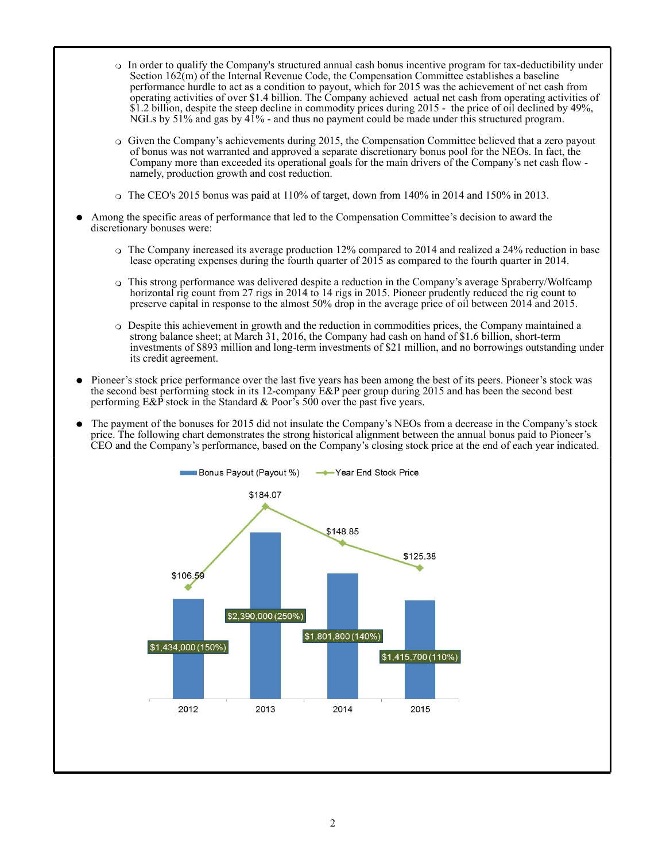- In order to qualify the Company's structured annual cash bonus incentive program for tax-deductibility under Section 162(m) of the Internal Revenue Code, the Compensation Committee establishes a baseline performance hurdle to act as a condition to payout, which for 2015 was the achievement of net cash from operating activities of over \$1.4 billion. The Company achieved actual net cash from operating activities of \$1.2 billion, despite the steep decline in commodity prices during 2015 - the price of oil declined by 49%, NGLs by 51% and gas by 41% - and thus no payment could be made under this structured program.
- Given the Company's achievements during 2015, the Compensation Committee believed that a zero payout of bonus was not warranted and approved a separate discretionary bonus pool for the NEOs. In fact, the Company more than exceeded its operational goals for the main drivers of the Company's net cash flow namely, production growth and cost reduction.
- $\circ$  The CEO's 2015 bonus was paid at 110% of target, down from 140% in 2014 and 150% in 2013.
- Among the specific areas of performance that led to the Compensation Committee's decision to award the discretionary bonuses were:
	- The Company increased its average production 12% compared to 2014 and realized a 24% reduction in base lease operating expenses during the fourth quarter of 2015 as compared to the fourth quarter in 2014.
	- This strong performance was delivered despite a reduction in the Company's average Spraberry/Wolfcamp horizontal rig count from 27 rigs in 2014 to 14 rigs in 2015. Pioneer prudently reduced the rig count to preserve capital in response to the almost 50% drop in the average price of oil between 2014 and 2015.
	- Despite this achievement in growth and the reduction in commodities prices, the Company maintained a strong balance sheet; at March 31, 2016, the Company had cash on hand of \$1.6 billion, short-term investments of \$893 million and long-term investments of \$21 million, and no borrowings outstanding under its credit agreement.
- Pioneer's stock price performance over the last five years has been among the best of its peers. Pioneer's stock was the second best performing stock in its 12-company E&P peer group during 2015 and has been the second best performing  $E\&P$  stock in the Standard  $\&$  Poor's 500 over the past five years.
- The payment of the bonuses for 2015 did not insulate the Company's NEOs from a decrease in the Company's stock price. The following chart demonstrates the strong historical alignment between the annual bonus paid to Pioneer's CEO and the Company's performance, based on the Company's closing stock price at the end of each year indicated.

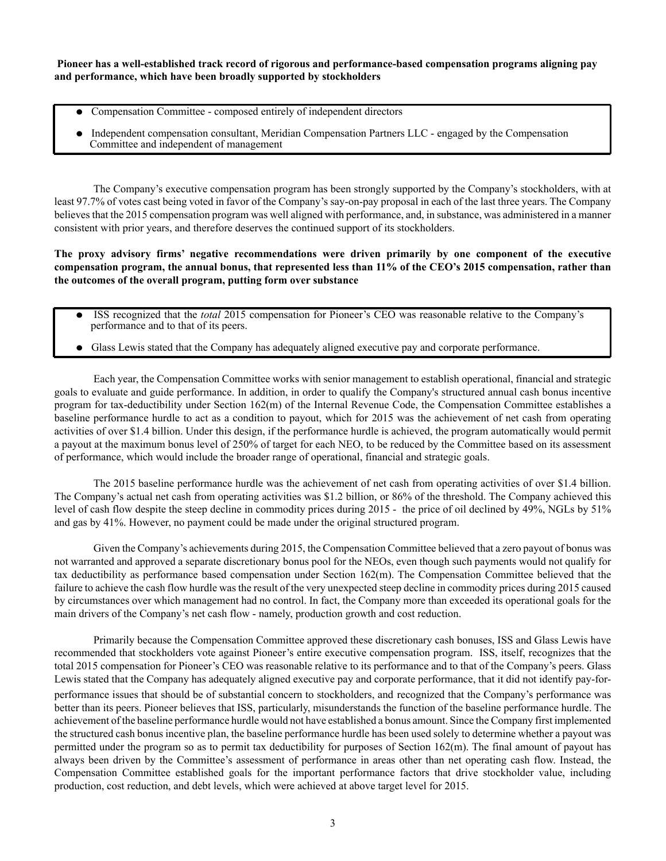**Pioneer has a well-established track record of rigorous and performance-based compensation programs aligning pay and performance, which have been broadly supported by stockholders**

- Compensation Committee composed entirely of independent directors
- Independent compensation consultant, Meridian Compensation Partners LLC engaged by the Compensation Committee and independent of management

The Company's executive compensation program has been strongly supported by the Company's stockholders, with at least 97.7% of votes cast being voted in favor of the Company's say-on-pay proposal in each of the last three years. The Company believes that the 2015 compensation program was well aligned with performance, and, in substance, was administered in a manner consistent with prior years, and therefore deserves the continued support of its stockholders.

**The proxy advisory firms' negative recommendations were driven primarily by one component of the executive compensation program, the annual bonus, that represented less than 11% of the CEO's 2015 compensation, rather than the outcomes of the overall program, putting form over substance**

- ISS recognized that the *total* 2015 compensation for Pioneer's CEO was reasonable relative to the Company's performance and to that of its peers.
- Glass Lewis stated that the Company has adequately aligned executive pay and corporate performance.

Each year, the Compensation Committee works with senior management to establish operational, financial and strategic goals to evaluate and guide performance. In addition, in order to qualify the Company's structured annual cash bonus incentive program for tax-deductibility under Section 162(m) of the Internal Revenue Code, the Compensation Committee establishes a baseline performance hurdle to act as a condition to payout, which for 2015 was the achievement of net cash from operating activities of over \$1.4 billion. Under this design, if the performance hurdle is achieved, the program automatically would permit a payout at the maximum bonus level of 250% of target for each NEO, to be reduced by the Committee based on its assessment of performance, which would include the broader range of operational, financial and strategic goals.

The 2015 baseline performance hurdle was the achievement of net cash from operating activities of over \$1.4 billion. The Company's actual net cash from operating activities was \$1.2 billion, or 86% of the threshold. The Company achieved this level of cash flow despite the steep decline in commodity prices during 2015 - the price of oil declined by 49%, NGLs by 51% and gas by 41%. However, no payment could be made under the original structured program.

Given the Company's achievements during 2015, the Compensation Committee believed that a zero payout of bonus was not warranted and approved a separate discretionary bonus pool for the NEOs, even though such payments would not qualify for tax deductibility as performance based compensation under Section 162(m). The Compensation Committee believed that the failure to achieve the cash flow hurdle was the result of the very unexpected steep decline in commodity prices during 2015 caused by circumstances over which management had no control. In fact, the Company more than exceeded its operational goals for the main drivers of the Company's net cash flow - namely, production growth and cost reduction.

Primarily because the Compensation Committee approved these discretionary cash bonuses, ISS and Glass Lewis have recommended that stockholders vote against Pioneer's entire executive compensation program. ISS, itself, recognizes that the total 2015 compensation for Pioneer's CEO was reasonable relative to its performance and to that of the Company's peers. Glass Lewis stated that the Company has adequately aligned executive pay and corporate performance, that it did not identify pay-forperformance issues that should be of substantial concern to stockholders, and recognized that the Company's performance was better than its peers. Pioneer believes that ISS, particularly, misunderstands the function of the baseline performance hurdle. The achievement of the baseline performance hurdle would not have established a bonus amount. Since the Company first implemented the structured cash bonus incentive plan, the baseline performance hurdle has been used solely to determine whether a payout was permitted under the program so as to permit tax deductibility for purposes of Section 162(m). The final amount of payout has always been driven by the Committee's assessment of performance in areas other than net operating cash flow. Instead, the Compensation Committee established goals for the important performance factors that drive stockholder value, including production, cost reduction, and debt levels, which were achieved at above target level for 2015.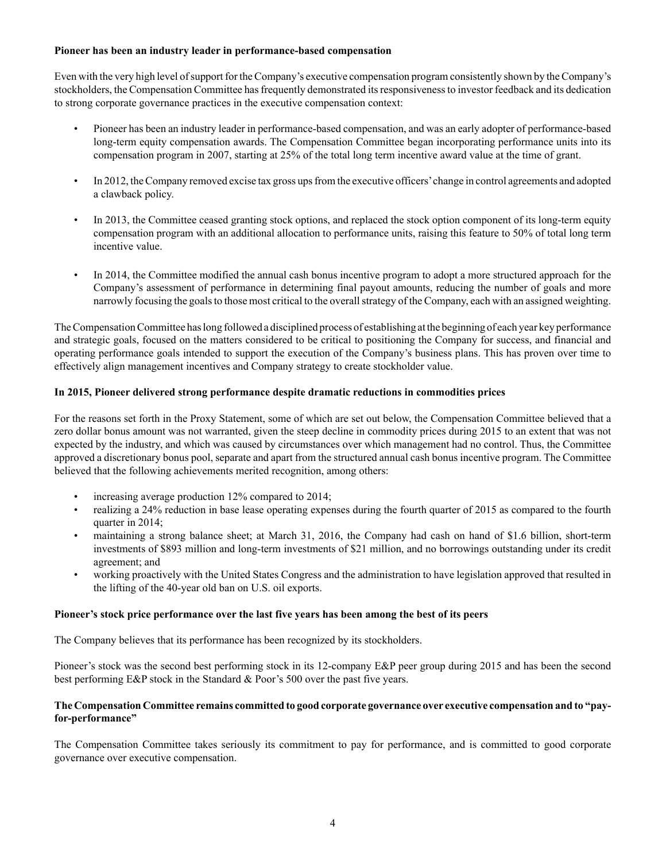## **Pioneer has been an industry leader in performance-based compensation**

Even with the very high level of support for the Company's executive compensation program consistently shown by the Company's stockholders, the Compensation Committee has frequently demonstrated its responsiveness to investor feedback and its dedication to strong corporate governance practices in the executive compensation context:

- Pioneer has been an industry leader in performance-based compensation, and was an early adopter of performance-based long-term equity compensation awards. The Compensation Committee began incorporating performance units into its compensation program in 2007, starting at 25% of the total long term incentive award value at the time of grant.
- In 2012, the Company removed excise tax gross ups from the executive officers'change in control agreements and adopted a clawback policy.
- In 2013, the Committee ceased granting stock options, and replaced the stock option component of its long-term equity compensation program with an additional allocation to performance units, raising this feature to 50% of total long term incentive value.
- In 2014, the Committee modified the annual cash bonus incentive program to adopt a more structured approach for the Company's assessment of performance in determining final payout amounts, reducing the number of goals and more narrowly focusing the goals to those most critical to the overall strategy of the Company, each with an assigned weighting.

The Compensation Committee has long followed a disciplined process of establishing at the beginning of each year key performance and strategic goals, focused on the matters considered to be critical to positioning the Company for success, and financial and operating performance goals intended to support the execution of the Company's business plans. This has proven over time to effectively align management incentives and Company strategy to create stockholder value.

# **In 2015, Pioneer delivered strong performance despite dramatic reductions in commodities prices**

For the reasons set forth in the Proxy Statement, some of which are set out below, the Compensation Committee believed that a zero dollar bonus amount was not warranted, given the steep decline in commodity prices during 2015 to an extent that was not expected by the industry, and which was caused by circumstances over which management had no control. Thus, the Committee approved a discretionary bonus pool, separate and apart from the structured annual cash bonus incentive program. The Committee believed that the following achievements merited recognition, among others:

- increasing average production 12% compared to 2014;
- realizing a 24% reduction in base lease operating expenses during the fourth quarter of 2015 as compared to the fourth quarter in 2014;
- maintaining a strong balance sheet; at March 31, 2016, the Company had cash on hand of \$1.6 billion, short-term investments of \$893 million and long-term investments of \$21 million, and no borrowings outstanding under its credit agreement; and
- working proactively with the United States Congress and the administration to have legislation approved that resulted in the lifting of the 40-year old ban on U.S. oil exports.

## **Pioneer's stock price performance over the last five years has been among the best of its peers**

The Company believes that its performance has been recognized by its stockholders.

Pioneer's stock was the second best performing stock in its 12-company E&P peer group during 2015 and has been the second best performing E&P stock in the Standard & Poor's 500 over the past five years.

# **The Compensation Committee remains committed to good corporate governance over executive compensation and to "payfor-performance"**

The Compensation Committee takes seriously its commitment to pay for performance, and is committed to good corporate governance over executive compensation.